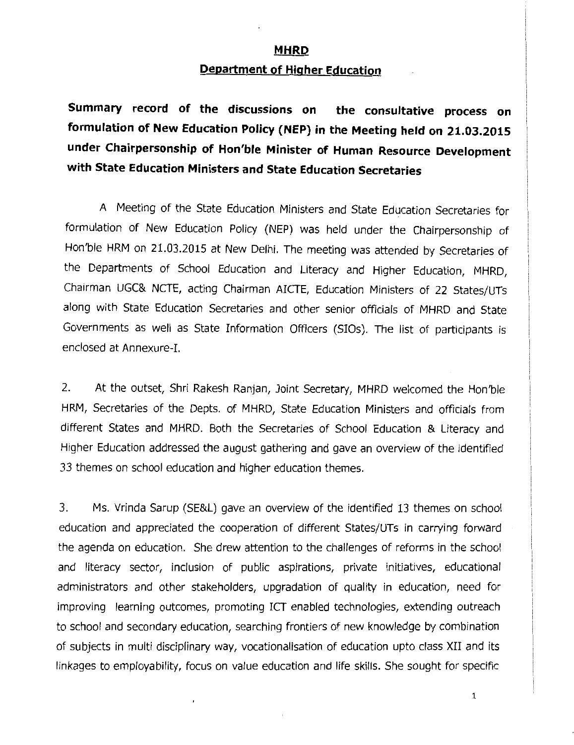## **MHRD**

## **Department of Higher Education**

**Summary record of the discussions on the consultative process on formulation of New Education Policy (NEP) in the Meeting held on 21.03.2015 under Chairpersonship of Hon'ble Minister of Human Resource Development with State Education Ministers and State Education Secretaries** 

A Meeting of the State Education Ministers and State Education Secretaries for formulation of New Education Policy (NEP) was held under the Chairpersonship of Hon'ble HRM on 21.03.2015 at New Delhi. The meeting was attended by Secretaries of the Departments of School Education and Literacy and Higher Education, MHRD, Chairman UGC& NCTE, acting Chairman AICTE, Education Ministers of 22 States/UTs along with State Education Secretaries and other senior officials of MHRD and State Governments as well as State Information Officers (SIOs). The list of participants is enclosed at Annexure-I.

2. At the outset, Shri Rakesh Ranjan, Joint Secretary, MHRD welcomed the Hon'ble HRM, Secretaries of the Depts. of MHRD, State Education Ministers and officials from different States and MHRD. Both the Secretaries of School Education & Literacy and Higher Education addressed the august gathering and gave an overview of the identified 33 themes on school education and higher education themes.

3. Ms. Vrinda Sarup (SE&L) gave an overview of the identified 13 themes on school education and appreciated the cooperation of different States/UTs in carrying forward the agenda on education. She drew attention to the challenges of reforms in the school and literacy sector, inclusion of public aspirations, private initiatives, educational administrators and other stakeholders, upgradation of quality in education, need for improving learning outcomes, promoting ICT enabled technologies, extending outreach to school and secondary education, searching frontiers of new knowledge by combination of subjects in multi disciplinary way, vocationalisation of education upto class XII and its linkages to employability, focus on value education and life skills. She sought for specific

 $\cdot$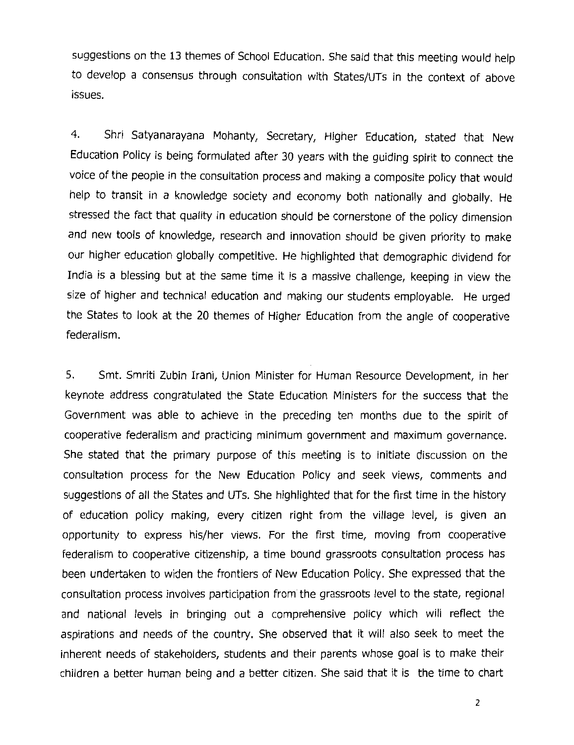suggestions on the 13 themes of School Education. She said that this meeting would help to develop a consensus through consultation with States/UTs in the context of above issues.

4. Shri Satyanarayana Mohanty, Secretary, Higher Education, stated that New Education Policy is being formulated after 30 years with the guiding spirit to connect the voice of the people in the consultation process and making a composite policy that would help to transit in a knowledge society and economy both nationally and globally. He stressed the fact that quality in education should be cornerstone of the policy dimension and new tools of knowledge, research and innovation should be given priority to make our higher education globally competitive. He highlighted that demographic dividend for India is a blessing but at the same time it is a massive challenge, keeping in view the size of higher and technical education and making our students employable. He urged the States to look at the 20 themes of Higher Education from the angle of cooperative federalism.

5. Smt. Smriti Zubin Irani, Union Minister for Human Resource Development, in her keynote address congratulated the State Education Ministers for the success that the Government was able to achieve in the preceding ten months due to the spirit of cooperative federalism and practicing minimum government and maximum governance. She stated that the primary purpose of this meeting is to initiate discussion on the consultation process for the New Education Policy and seek views, comments and suggestions of all the States and UTs. She highlighted that for the first time in the history of education policy making, every citizen right from the village level, is given an opportunity to express his/her views. For the first time, moving from cooperative federalism to cooperative citizenship, a time bound grassroots consultation process has been undertaken to widen the frontiers of New Education Policy. She expressed that the consultation process involves participation from the grassroots level to the state, regional and national levels in bringing out a comprehensive policy which will reflect the aspirations and needs of the country. She observed that it will also seek to meet the inherent needs of stakeholders, students and their parents whose goal is to make their children a better human being and a better citizen. She said that it is the time to chart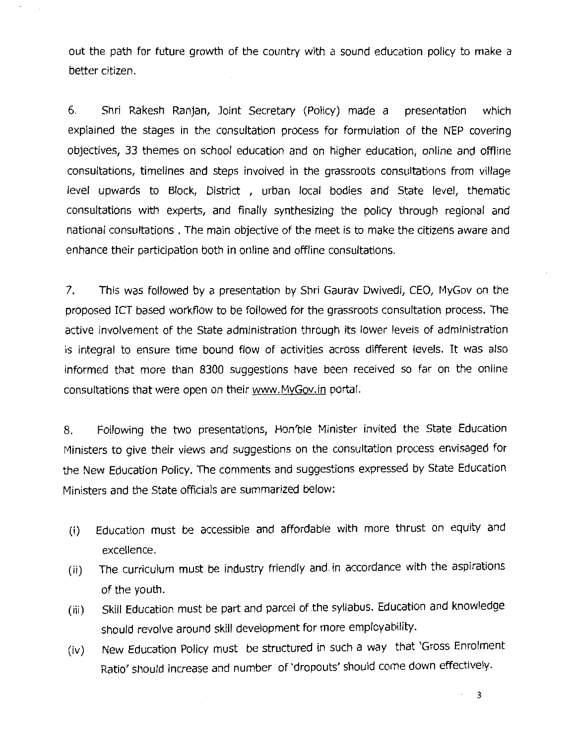out the path for future growth of the country with a sound education policy to make a better citizen.

6. Shri Rakesh Ranjan, Joint Secretary (Policy) made a presentation which explained the stages in the consultation process for formulation of the NEP covering objectives, 33 themes on school education and on higher education, online and offline consultations, timelines and steps involved in the grassroots consultations from village level upwards to Block, District , urban local bodies and State level, thematic consultations with experts, and finally synthesizing the policy through regional and national consultations . The main objective of the meet is to make the citizens aware and enhance their participation both in online and offline consultations.

7. This was followed by a presentation by Shri Gaurav Dwivedi, CEO, MyGov on the proposed ICT based workflow to be followed for the grassroots consultation process. The active involvement of the State administration through its lower levels of administration is integral to ensure time bound flow of activities across different levels. It was also informed that more than 8300 suggestions have been received so far on the online consultations that were open on their www.MyGov.in portal.

8. Following the two presentations, Hon'ble Minister invited the State Education Ministers to give their views and suggestions on the consultation process envisaged for the New Education Policy. The comments and suggestions expressed by State Education Ministers and the State officials are summarized below:

- (i) Education must be accessible and affordable with more thrust on equity and excellence.
- (ii) The curriculum must be industry friendly and in accordance with the aspirations of the youth.
- (iii) Skill Education must be part and parcel of the syllabus. Education and knowledge should revolve around skill development for more employability.
- (iv) New Education Policy must be structured in such a way that 'Gross Enrolment Ratio' should increase and number of 'dropouts' should come down effectively.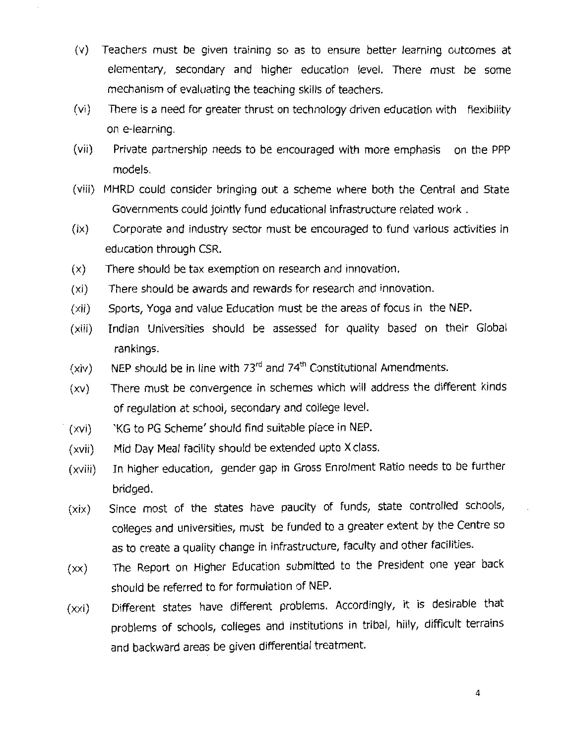- (v) Teachers must be given training so as to ensure better learning outcomes at elementary, secondary and higher education level. There must be some mechanism of evaluating the teaching skills of teachers.
- (vi) There is a need for greater thrust on technology driven education with flexibility on e-learning.
- (vii) Private partnership needs to be encouraged with more emphasis on the PPP models.
- (viii) MHRD could consider bringing out a scheme where both the Central and State Governments could jointly fund educational infrastructure related work .
- (ix) Corporate and industry sector must be encouraged to fund various activities in education through CSR.
- (x) There should be tax exemption on research and innovation.
- (xi) There should be awards and rewards for research and innovation.
- (xii) Sports, Yoga and value Education must be the areas of focus in the NEP.
- (xiii) Indian Universities should be assessed for quality based on their Global rankings.
- (xiv) NEP should be in line with  $73<sup>rd</sup>$  and  $74<sup>th</sup>$  Constitutional Amendments.
- (xv) There must be convergence in schemes which will address the different kinds of regulation at school, secondary and college level.
- (xvi) 'KG to PG Scheme' should find suitable place in NEP.
- (xvii) Mid Day Meal facility should be extended upto X class.
- (xviii) In higher education, gender gap in Gross Enrolment Ratio needs to be further bridged.
- (xix) Since most of the states have paucity of funds, state controlled schools, colleges and universities, must be funded to a greater extent by the Centre so as to create a quality change in infrastructure, faculty and other facilities.
- (xx) The Report on Higher Education submitted to the President one year back should be referred to for formulation of **NEP.**
- (xxi) Different states have different problems. Accordingly, it is desirable that problems of schools, colleges and institutions in tribal, hilly, difficult terrains and backward areas be given differential treatment.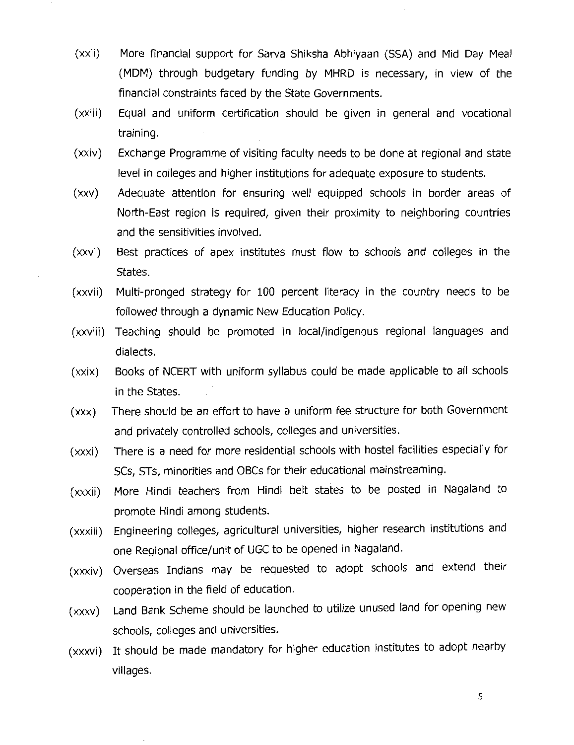- (xxii) More financial support for Sarva Shiksha Abhiyaan (SSA) and Mid Day Meal (MDM) through budgetary funding by MHRD is necessary, in view of the financial constraints faced by the State Governments.
- (xxiii) Equal and uniform certification should be given in general and vocational training.
- (xxiv) Exchange Programme of visiting faculty needs to be done at regional and state level in colleges and higher institutions for adequate exposure to students.
- (xxv) Adequate attention for ensuring well equipped schools in border areas of North-East region is required, given their proximity to neighboring countries and the sensitivities involved.
- (xxvi) Best practices of apex institutes must flow to schools and colleges in the States.
- (xxvii) Multi-pronged strategy for 100 percent literacy in the country needs to be followed through a dynamic New Education Policy.
- (xxviii) Teaching should be promoted in local/indigenous regional languages and dialects.
- (xxix) Books of NCERT with uniform syllabus could be made applicable to all schools in the States.
- (xxx) There should be an effort to have a uniform fee structure for both Government and privately controlled schools, colleges and universities.
- (xxxi) There is a need for more residential schools with hostel facilities especially for SCs, STs, minorities and OBCs for their educational mainstreaming.
- (xxxii) More Hindi teachers from Hindi belt states to be posted in Nagaland to promote Hindi among students.
- (xxxiii) Engineering colleges, agricultural universities, higher research institutions and one Regional office/unit of UGC to be opened in Nagaland.
- (xxxiv) Overseas Indians may be requested to adopt schools and extend their cooperation in the field of education.
- (xxxv) Land Bank Scheme should be launched to utilize unused land for opening new schools, colleges and universities.
- (xxxvi) It should be made mandatory for higher education institutes to adopt nearby villages.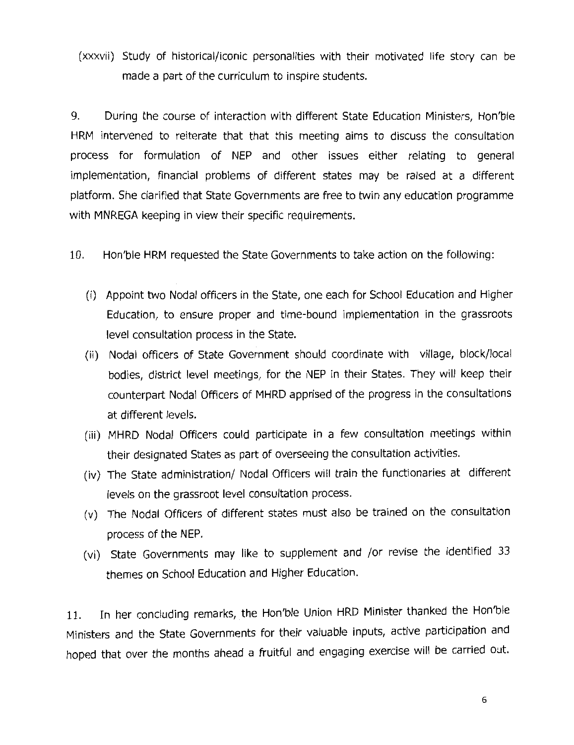(xxxvii) Study of historical/iconic personalities with their motivated life story can be made a part of the curriculum to inspire students.

9. During the course of interaction with different State Education Ministers, Hon'ble HRM intervened to reiterate that that this meeting aims to discuss the consultation process for formulation of NEP and other issues either relating to general implementation, financial problems of different states may be raised at a different platform. She clarified that State Governments are free to twin any education programme with MNREGA keeping in view their specific requirements.

10. Hon'ble HRM requested the State Governments to take action on the following:

- (i) Appoint two Nodal officers in the State, one each for School Education and Higher Education, to ensure proper and time-bound implementation in the grassroots level consultation process in the State.
- (ii) Nodal officers of State Government should coordinate with village, block/local bodies, district level meetings, for the NEP in their States. They will keep their counterpart Nodal Officers of MHRD apprised of the progress in the consultations at different levels.
- (iii) MHRD Nodal Officers could participate in a few consultation meetings within their designated States as part of overseeing the consultation activities.
- (iv) The State administration/ Nodal Officers will train the functionaries at different levels on the grassroot level consultation process.
- (v) The Nodal Officers of different states must also be trained on the consultation process of the NEP.
- (vi) State Governments may like to supplement and /or revise the identified 33 themes on School Education and Higher Education.

11. In her concluding remarks, the Hon'ble Union HRD Minister thanked the Hon'ble Ministers and the State Governments for their valuable inputs, active participation and hoped that over the months ahead a fruitful and engaging exercise will be carried out.